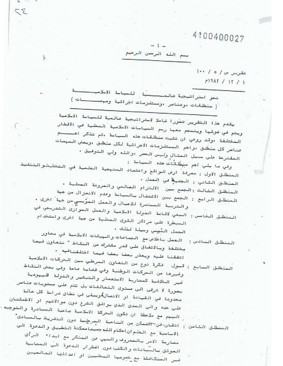بسم الله الرحمن الرحيم

تقریر س/ه/ ۱۰۰  $1917 / 17 / 1$ 

نحو استراتيجية فالمصنعية للساسة الاسلامين ننسة ``( منطلقات ،وعناصر ،ومستلزمات اجرائية ومهمــــات )

 $\sim$ 

 $52$ 

يقدم هذا التقرير تصورا شاملا لاحتراتيجية عالمية للسياحة الاسلامية ويتم في ضوئها وينصبم معها رحم الصياحات الاصلامية المحلية في الاقطار المختلفة ،وقد روعي ان تثبت منطلقات هذه السياسة ،ثم تذكر اهــــم عناصر كل منطلق ،واهم المستلزمات الاجرائية لكل منطلق ،وبعض المهمات المقترحة على سبيل العثال وليس الحصر ،والله ولي التوفيق ،

وفي ما يلي أهم منطَّقَات هذه الصياحة : المنطلق الاول : معرفة ً ارض الواقع واعتماد المنهجية العلمية في التفطيطورالتنغيذ المنطلق الشاني : الجديدة في العمل . المنطلق الثالث :الجمع جين الالتزام العالمي والعرونة العطية . المنطلق الرابع : الجمع بين الاشتفال بالصياسة وعدم الانسرال من جهة والتربية المستمرة للاجيال والعمل الموسي من جهة اخرى .

المنطلق الفامس : السعي لاقامة الدولة الاسلامية والعمل الصوارى التدريجي في السيطرة على مراكز القوى المحلية من جهة اخرى واستخدام

العمل المُوسي وسيلة لذلك .

المنطلق الصادس: العمل باخلاص مع الجماعات والهيثات الاسلامية في محاور مِختلفة وبالاتفاق على قدر مشترك من النقاط " نتعاون فيما اتفقنا عليه ويعذر بعضا بعضا فيما اختلفنافهه . المنطلق السابع : قبول فكرة نوع من التغاون المرطي جين الحركات الاسلامية

وغيرها من الحركات الوطنية وفي قضايا عامة وفي بعض النقاط غير الثلافية كمحاربة الاستعمار والتبثير والدولة الليهودية

بصورة لا ترقى الى مصتوى التحالفات بل تتم على مصتويات عناصر محدودة في القيادة او الاتصال**/**ويبقى في نطاق دراسة كل حالة علي حده والى المدى الذي يوافق الشرع دون موالاتهم او الاطمئنان الصهم صع صلاحظة ان تكون الحركة الاصلاصية صاحبة الصبادرة والتوجيه. المنطلق الثامن : اتقان-فن<del>-ال</del>محمكن من الناحية المصر<u>حلي</u>ة دون التفريط بالمبادى ً الاساسية مع العلم ان احكام الله جميعا ممكنة التطبيق والدعوة الى معارضة الامر بالمعروف والنهي عن المنكر مع ابداء الرأى التعوثق بالبيانات والكتب دون اضطرار الدعوة الى المجابية غير المتكافئة مع خصرمها المحليين او اعدائها العالميين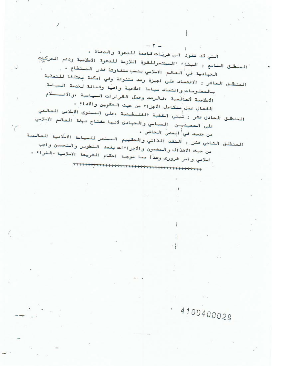التي قد تقود الى ضربات قاصمة للدعوة والدعاة . المنطلق التاسع : البناء "المختصرللقوة اللازمة للدعوة الاسلامية ودعم الحركإت الجهادية في العالم الاسلامي بنسب متفاوتة قدر المصتطاع . . المنطلق العاشر : الاعتماد على اجهزة رصد متنوعة وفي امكنة مفتلفة للتفذية بالمعلومات واعتماد سياسة اعلامية واعية وفعالة لخدمة السياسة الاسلامية السالمية ،فالرصد وعمل القرارات السياسية ،والاعــــلام الفعال عمل متكامل الاجزاء من حيث التكوين والاداء . المنطلق الحادى عثر : تُبني القضية الفلـطينية ،على المصتوى الاسلامى العالمي على المعيديان السياسي والبهادي لانها مفتاح نهضة العالم الاسلامي من جديد في العمر الحاض . المنطلق الثاني عشر : النقد الذاتي والتقييم المصتصر للصياسة الاسلامية العالمية من حيث الاهذاف والمضمون والاجراءات بقصد التطوير والتحسين واجب اسلامي وامر ضرورى وهذا مما توجبه احكام الشريعة الاسلامية -الغراء .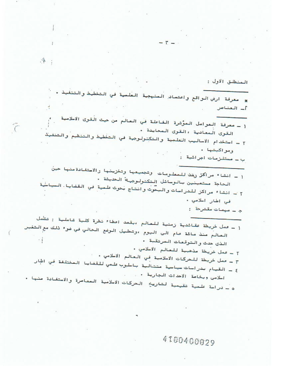,本;

 $\lambda$ 

المنطلق الاول :

\* صحرفة ارض الواقع واعتصاد الصنهجية الفلصية في التخطيط والتنفيذ ، أ\_ العناص

 $-1 -$ 

ج – سيمات مقترحة :

( ـ عمل خريطة عقائدية زمنية للعالم ،بقصد اعطاء نظرة كلية شاملية : تشمل العالم منذ مائة عام الى اليوم ،وتطيل الوضع الحالي في ضوء ذلك مع التغير الذى حدث و الـتوقعات الـمرتقبة •  $\cdot$  i ٢ ـ عمل خريطة صدهــة للعالم الاسلامي . ٣ ـ عمل خريطة للحركات الاسلامية في العالم الاسلامي . ٤ ـ القيام بدراسات سياسية متتالية باسلوب علمي للقضايا المختلفة في اطار اسلامى وبخاصة الاحداث الجارية .

ه ـ دراسة علمية تقيمية لتاريخ الحركات الاسلامية المعاصرة والاستفادة منها .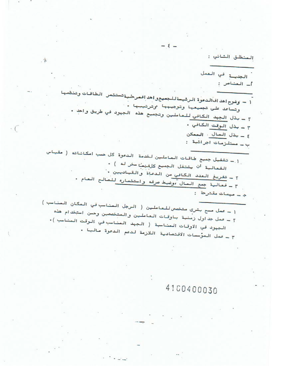الصنطلق الثاني :

الجديسة في العمل - العناص : ľ

$$
I = \frac{1}{2}
$$
\n
$$
I = \frac{1}{2}
$$
\n
$$
I = \frac{1}{2}
$$
\n
$$
I = \frac{1}{2}
$$
\n
$$
I = \frac{1}{2}
$$
\n
$$
I = \frac{1}{2}
$$
\n
$$
I = \frac{1}{2}
$$
\n
$$
I = \frac{1}{2}
$$
\n
$$
I = \frac{1}{2}
$$
\n
$$
I = \frac{1}{2}
$$
\n
$$
I = \frac{1}{2}
$$
\n
$$
I = \frac{1}{2}
$$
\n
$$
I = \frac{1}{2}
$$
\n
$$
I = \frac{1}{2}
$$
\n
$$
I = \frac{1}{2}
$$
\n
$$
I = \frac{1}{2}
$$
\n
$$
I = \frac{1}{2}
$$
\n
$$
I = \frac{1}{2}
$$
\n
$$
I = \frac{1}{2}
$$
\n
$$
I = \frac{1}{2}
$$
\n
$$
I = \frac{1}{2}
$$
\n
$$
I = \frac{1}{2}
$$
\n
$$
I = \frac{1}{2}
$$
\n
$$
I = \frac{1}{2}
$$
\n
$$
I = \frac{1}{2}
$$
\n
$$
I = \frac{1}{2}
$$
\n
$$
I = \frac{1}{2}
$$
\n
$$
I = \frac{1}{2}
$$
\n
$$
I = \frac{1}{2}
$$
\n
$$
I = \frac{1}{2}
$$
\n
$$
I = \frac{1}{2}
$$
\n
$$
I = \frac{1}{2}
$$
\n
$$
I = \frac{1}{2}
$$
\n
$$
I = \frac{1}{2}
$$
\n
$$
I = \frac{1}{2}
$$
\n
$$
I = \frac{1}{2}
$$
\n
$$
I = \frac{1}{2}
$$
\n
$$
I = \frac{1}{2}
$$
\n
$$
I = \frac{1}{2}
$$
\n
$$
I = \frac{1}{2}
$$
\n
$$
I = \frac{1}{2}
$$
\n
$$
I = \frac{1}{2}
$$
\n
$$
I =
$$

$$
1 = 3ab
$$
 سح بشرى متخسم للعاطين ( الرويل المخات اسخان اسصات 1 = 3ab مذه وتات العاطين والمتخصين وصن استندام هذه 1 = 2) لفناسية ( الجهد العئاسب في الروقت المئاسب) •  
الجبرد في الأوقات المئاسية ( الجهد المئاسب في الروقت المئاسب) •

# 4100400030

 $\mathcal{A}^{\dagger}$  .

 $\cdot$  (  $\hat{\phantom{a}}$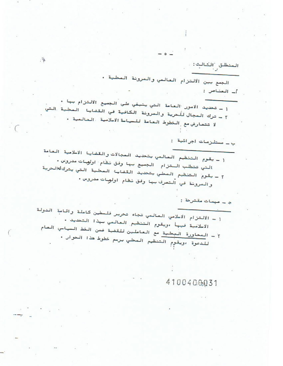المنطلق الشالث: الجمع بين الالتزام العالمي والمرونة المحلية . أ\_ العناص : 1 ـ تحديد الامور العامة التي ينبغي على الجميع الالتزام بها .

٢ - ترك المجال للحرية والمرونة الكافية في القضايا المحلية التي لا تتعارض مع الفطوط العامة للحياسة الاسلامية العالمية .

ب \_ مستلزمات اجرائية :

( ـ يقوم التنظيم العالمي بتحديد العجالات والقضايا الاسلامية العامة التي تتطلب الـتزام - الجميع بـها وفق نظام اولوسات مدروس . ٢ – يقوم التنظيم المطي بتحديد القضاية المطية التي يتركالهالحرية والمرونة في التصرف جها وفق نظام اولوات مدروس .

دِ \_ مهمات مقترحة :

١ ـ الالتزام الاسلامي العالمي تجاه تحرير فلـطين كاملة واقامة الدولة الاسلامية فيها ،ويقوم التنظيم العالمي جهذا التحديد . ٢ – المحاورة المحلية مع العاملين للقضية ضمن الخط الصياحي العام للدعوة ،ويقوم التنظيم الصحلي برسم خطوط هذا الحوار .

4100400031

 $\vec{A}^7$ .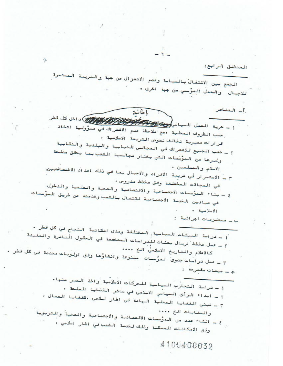(1.1446) 
$$
1.47
$$
  $1.47$   $1.47$   $1.47$   $1.47$   $1.47$   $1.47$   $1.47$   $1.47$   $1.47$   $1.47$   $1.47$   $1.48$   $1.49$   $1.41$   $1.49$   $1.41$   $1.41$   $1.41$   $1.41$   $1.41$   $1.41$   $1.41$   $1.41$   $1.41$   $1.41$   $1.41$   $1.41$   $1.41$   $1.41$   $1.41$   $1.41$   $1.41$   $1.41$   $1.41$   $1.41$   $1.41$   $1.41$   $1.41$   $1.41$   $1.41$   $1.41$   $1.41$   $1.41$   $1.41$   $1.41$   $1.41$   $1.41$   $1.41$   $1.41$   $1.41$   $1.41$   $1.41$   $1.41$   $1.41$   $1.41$   $1.41$   $1.41$   $1.41$   $1.41$   $1.41$   $1.41$   $1.41$   $1.41$   $1.41$   $1.41$   $1.41$   $1.41$   $1.41$   $1.41$   $1.41$   $1.41$   $1.41$   $1.41$   $1.41$   $1.$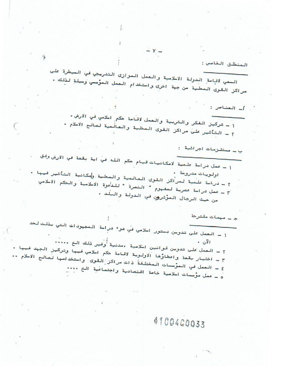المنظلى قالخامس :  
\nالمنظلى قالخامس :  
\n
$$
\frac{1}{4}
$$
  
\n
$$
\frac{1}{4}
$$
  
\n
$$
\frac{1}{4}
$$
  
\n
$$
\frac{1}{4}
$$
  
\n
$$
\frac{1}{4}
$$
  
\n
$$
\frac{1}{4}
$$
  
\n
$$
\frac{1}{4}
$$
  
\n
$$
\frac{1}{4}
$$
  
\n
$$
\frac{1}{4}
$$
  
\n
$$
\frac{1}{4}
$$
  
\n
$$
\frac{1}{4}
$$
  
\n
$$
\frac{1}{4}
$$
  
\n
$$
\frac{1}{4}
$$
  
\n
$$
\frac{1}{4}
$$
  
\n
$$
\frac{1}{4}
$$
  
\n
$$
\frac{1}{4}
$$
  
\n
$$
\frac{1}{4}
$$
  
\n
$$
\frac{1}{4}
$$
  
\n
$$
\frac{1}{4}
$$
  
\n
$$
\frac{1}{4}
$$
  
\n
$$
\frac{1}{4}
$$
  
\n
$$
\frac{1}{4}
$$
  
\n
$$
\frac{1}{4}
$$
  
\n
$$
\frac{1}{4}
$$
  
\n
$$
\frac{1}{4}
$$
  
\n
$$
\frac{1}{4}
$$
  
\n
$$
\frac{1}{4}
$$
  
\n
$$
\frac{1}{4}
$$
  
\n
$$
\frac{1}{4}
$$
  
\n
$$
\frac{1}{4}
$$
  
\n
$$
\frac{1}{4}
$$
  
\n
$$
\frac{1}{4}
$$
  
\n
$$
\frac{1}{4}
$$
  
\n
$$
\frac{1}{4}
$$
  
\n
$$
\frac{1}{4}
$$
  
\n
$$
\frac{1}{4}
$$
  
\n
$$
\frac{1}{4}
$$
  
\n
$$
\frac{1}{4}
$$
  
\n
$$
\frac{1}{4}
$$
  
\n
$$
\frac{1}{4}
$$
  
\n
$$
\frac{1}{4}
$$
  
\n
$$
\frac{1}{4}
$$
  
\n
$$
\frac{1}{4}
$$
  
\n<math display="block</p>

İ.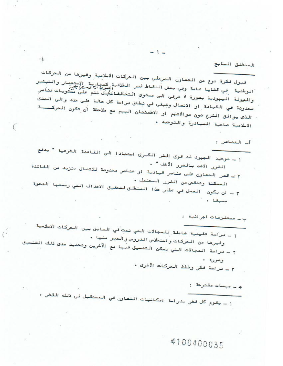المنطلق السابع

أ\_ العناصر :

قبول فكرة نوع من التعاون المرطي بين الحركات الاسلامية وغيرها من الحركات الرطنية في قضايا عامة وفي بعض النقاط فير الخلافية كمدارية الإستعمار والتبشير<br>الرطنية في قضايا عامة وفي بعض النقاط فير الخلاف المبرد الالرحم والنولة اليبودية بصورة لا ترقى الى معتوى التحالفات/بل تتم على معتويات عناصر محدودة في القيادة او الاتصال وتبقى في نطاق دراسة كل حالة على حده والى المدى الذي يوافق الشرع دون موالاتهم او الاطمئنان الصهم مع ملاحظة أن تكون الحركــــة الاسلامية صاحبة المبادرة والتوجيه .

 $-9-$ 

١ ـ توحيد الجهود غد قوى الشر الكبرى استنادا الى القاعدة الشرعية " يدفع الضرر الاشد بالضرر الأخف " . ٢ - قصر التعاون على عناصر قيادية او عناصر محدودة للاتصال ،تزيد من الفائدة الممكنة وتنقص من الضرر المحتمل . ٣ ـ ان يكون العمل في اطار هذا المنطلق لتحقيق الاهداف التي رحمتها الدعوة مستا.

ب ــ مستلزمات اجرائية :

١ ـ دراسة تقيمية شاملة للمجالات التي تمت في السابق بين الحركات الاسلامية وغيرها من الحركات واستخلاص الدروس والعبر منها ء ٢ ـ دراسة الصبالات التي يمكن التنسيق فيها مع الآخرين وتحديد مدى ذلك التنسيق وصوره . ٣ - دراسة فكر وخطط الحركات الأخرى .

ج ۔ مہمات مقترحة۔:

١ ـ يقوم كل قطر بدراسة امكانيات التعاون في المستقبل في ذلك القطر .

4100400035

嗪

 $l^i$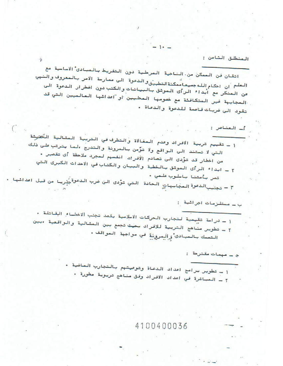المنطلق الثامن :

اتقان فن الصمكن من الناحية الصرحلية دون التفريط بالصبادى الاساسية مع العلم أن احكام الله جميعاً منكنة التطبيق والدعوة ألى ممارسة ألامر بالمعروف والنبي عن المنكر مع ابداء الرأى الموثق بالبيانات والكتب دون اضطرار الدعوة الى المجابهة غير المتكافئة مع خصومها المحليين او اعدائها العالميين التي قد تقود الى ضربات قاصمة للدعوة والدعاة .

]\_ العناصر : ١ ـ تقييم تربية الأفراد وعدم المغالاة والتطرف في التربية المثالية الكثيرشة التي لا تستند الى الواقع ولا توَّصن بالمرونة والتدرج ،لما يترتب على ذلك من اخطار قد توَّدى الى تصادم الأفراء، انفسهم لعجرد ملاحظة أى تقصير . ٢ ـ ابداء الرأى الموشق بالخطبة والبيان والكتاب في الاحداث الكبرى التي تصر بأمتنا باللوب علمي ، ٣ – تجنيبالدعوة العجابهاتِ الحادة التي تردى الن ضرب الدعوة يُدرِيـا من قبل اعدائـها .

ب ــ مــتلـزمات اجرائية۔:

ج ۔ مہمات مقترحة۔:

١ ـ دراسة تقيمية لتجارب الحركات الاسلامية بقصد تجنب الاخطاء القاتلة . r ـ تطوير مناهج التر<mark>بية للافراد بحيث تجمع بين المثالية والراقعية ،بين</mark> التعسك بالسادى والمرونة في مراجمة العراقف .

> ا ـ تطوير برامج اعداد الدعاة وتوصيتهم بالتجارب الصاضية . ٢ ـ الصباشرة في اعداد الافراد وفق مناهج تربوية صطورة ٠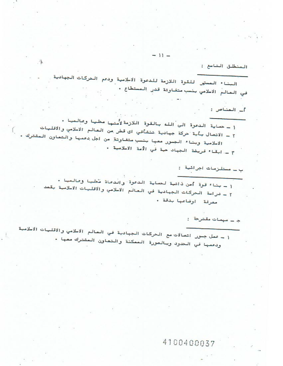$-11-$ 

المنطلق التاسخ :

 $\tilde{A}^{\dagger}$  .

تقمد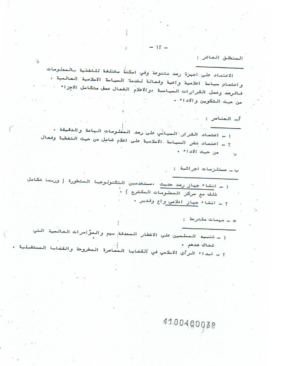ā

 $\sqrt{ }$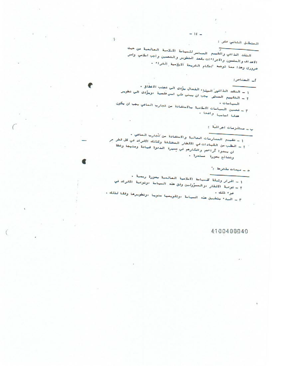المنطلق التاني عشر :

الشقد الذاتي والتقييم العبتمر للسياسة الابلامية العالمية من حيث الاعداف والمفعون والاجراءات بقعد التطوير والشحسين واجب الخامي وامر ضرورى وهذا مما توجيه المكام الشريعة الأبلإمية الكرام .

 $-15-$ 

أن المتناص:

1 ــ النقد الذاتيل البناء الفعال بؤدى الى عينب الاخطاق . 7 - التقييم العسلى الجب أن ببنى على اسن علمية ادويوردى الى تطويس

斗

ⅇ

–.

疲

- 
- ٣ \_ تحسين السباسات الاللامية بالاستقادة من تجارب السافي يجب ان يكون كذليا المأسيا وأضحا ،

ب \_ مستلزمات اجراشه :

1 – تقييم العمارسات الحالية والاستفادة من تُجَارِبَ السافي -٢ - الطلب من القيادات في الاقطار المختلفة وكذلك الافراد في كل قطر مر ان بعدوا آراءهم وافكارهم لي مصيرة الددوة فيادة ومنهجا وخطة ونشائج بعورة استعرة .

م \_ ميمان مقترها :"

1 - اقرار وثبقة المسياسة الاسلامية العالمية بمورة رسمية . ٢ - توصة الاقطار ،والمسؤولين وفق هذه السياسة ،وتوصية الافراد في F \_ البدءُ بتطبيق هذه السياسة ،وتقويعها سنويا ،وتطويرها وفقا لذلك . ضوء ذلك .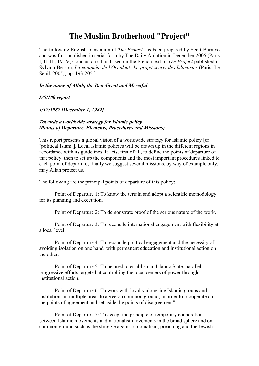### **The Muslim Brotherhood "Project"**

The following English translation of *The Project* has been prepared by Scott Burgess and was first published in serial form by The Daily Ablution in December 2005 (Parts I, II, III, IV, V, Conclusion). It is based on the French text of *The Project* published in Sylvain Besson, *La conquête de l'Occident: Le projet secret des Islamistes* (Paris: Le Seuil, 2005), pp. 193-205.]

#### *In the name of Allah, the Beneficent and Merciful*

*S/5/100 report*

*1/12/1982 [December 1, 1982]*

#### *Towards a worldwide strategy for Islamic policy (Points of Departure, Elements, Procedures and Missions)*

This report presents a global vision of a worldwide strategy for Islamic policy [or "political Islam"]. Local Islamic policies will be drawn up in the different regions in accordance with its guidelines. It acts, first of all, to define the points of departure of that policy, then to set up the components and the most important procedures linked to each point of departure; finally we suggest several missions, by way of example only, may Allah protect us.

The following are the principal points of departure of this policy:

Point of Departure 1: To know the terrain and adopt a scientific methodology for its planning and execution.

Point of Departure 2: To demonstrate proof of the serious nature of the work.

Point of Departure 3: To reconcile international engagement with flexibility at a local level.

Point of Departure 4: To reconcile political engagement and the necessity of avoiding isolation on one hand, with permanent education and institutional action on the other.

Point of Departure 5: To be used to establish an Islamic State; parallel, progressive efforts targeted at controlling the local centers of power through institutional action.

Point of Departure 6: To work with loyalty alongside Islamic groups and institutions in multiple areas to agree on common ground, in order to "cooperate on the points of agreement and set aside the points of disagreement".

Point of Departure 7: To accept the principle of temporary cooperation between Islamic movements and nationalist movements in the broad sphere and on common ground such as the struggle against colonialism, preaching and the Jewish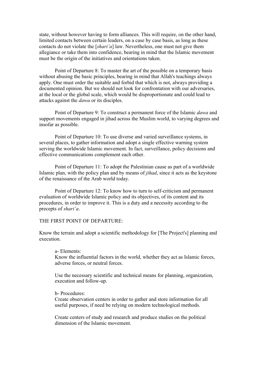state, without however having to form alliances. This will require, on the other hand, limited contacts between certain leaders, on a case by case basis, as long as these contacts do not violate the [*shari'a*] law. Nevertheless, one must not give them allegiance or take them into confidence, bearing in mind that the Islamic movement must be the origin of the initiatives and orientations taken.

Point of Departure 8: To master the art of the possible on a temporary basis without abusing the basic principles, bearing in mind that Allah's teachings always apply. One must order the suitable and forbid that which is not, always providing a documented opinion. But we should not look for confrontation with our adversaries, at the local or the global scale, which would be disproportionate and could lead to attacks against the *dawa* or its disciples.

Point of Departure 9: To construct a permanent force of the Islamic *dawa* and support movements engaged in jihad across the Muslim world, to varying degrees and insofar as possible.

Point of Departure 10: To use diverse and varied surveillance systems, in several places, to gather information and adopt a single effective warning system serving the worldwide Islamic movement. In fact, surveillance, policy decisions and effective communications complement each other.

Point of Departure 11: To adopt the Palestinian cause as part of a worldwide Islamic plan, with the policy plan and by means of *jihad*, since it acts as the keystone of the renaissance of the Arab world today.

Point of Departure 12: To know how to turn to self-criticism and permanent evaluation of worldwide Islamic policy and its objectives, of its content and its procedures, in order to improve it. This is a duty and a necessity according to the precepts of *shari'a*.

#### THE FIRST POINT OF DEPARTURE:

Know the terrain and adopt a scientific methodology for [The Project's] planning and execution.

#### a- Elements: Know the influential factors in the world, whether they act as Islamic forces, adverse forces, or neutral forces.

Use the necessary scientific and technical means for planning, organization, execution and follow-up.

#### b- Procedures:

Create observation centers in order to gather and store information for all useful purposes, if need be relying on modern technological methods.

Create centers of study and research and produce studies on the political dimension of the Islamic movement.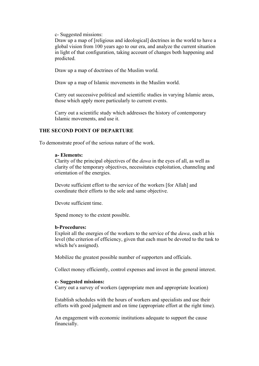c- Suggested missions:

Draw up a map of [religious and ideological] doctrines in the world to have a global vision from 100 years ago to our era, and analyze the current situation in light of that configuration, taking account of changes both happening and predicted.

Draw up a map of doctrines of the Muslim world.

Draw up a map of Islamic movements in the Muslim world.

Carry out successive political and scientific studies in varying Islamic areas, those which apply more particularly to current events.

Carry out a scientific study which addresses the history of contemporary Islamic movements, and use it.

#### **THE SECOND POINT OF DEPARTURE**

To demonstrate proof of the serious nature of the work.

#### **a- Elements:**

Clarity of the principal objectives of the *dawa* in the eyes of all, as well as clarity of the temporary objectives, necessitates exploitation, channeling and orientation of the energies.

Devote sufficient effort to the service of the workers [for Allah] and coordinate their efforts to the sole and same objective.

Devote sufficient time.

Spend money to the extent possible.

#### **b-Procedures:**

Exploit all the energies of the workers to the service of the *dawa*, each at his level (the criterion of efficiency, given that each must be devoted to the task to which he's assigned).

Mobilize the greatest possible number of supporters and officials.

Collect money efficiently, control expenses and invest in the general interest.

#### **c- Suggested missions:**

Carry out a survey of workers (appropriate men and appropriate location)

Establish schedules with the hours of workers and specialists and use their efforts with good judgment and on time (appropriate effort at the right time).

An engagement with economic institutions adequate to support the cause financially.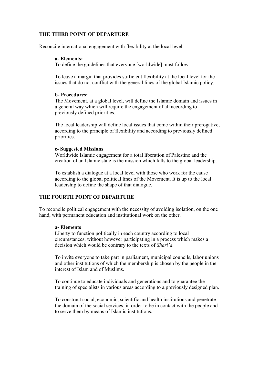#### **THE THIRD POINT OF DEPARTURE**

Reconcile international engagement with flexibility at the local level.

#### **a- Elements:**

To define the guidelines that everyone [worldwide] must follow.

To leave a margin that provides sufficient flexibility at the local level for the issues that do not conflict with the general lines of the global Islamic policy.

#### **b- Procedures:**

The Movement, at a global level, will define the Islamic domain and issues in a general way which will require the engagement of all according to previously defined priorities.

The local leadership will define local issues that come within their prerogative, according to the principle of flexibility and according to previously defined priorities.

#### **c- Suggested Missions**

Worldwide Islamic engagement for a total liberation of Palestine and the creation of an Islamic state is the mission which falls to the global leadership.

To establish a dialogue at a local level with those who work for the cause according to the global political lines of the Movement. It is up to the local leadership to define the shape of that dialogue.

#### **THE FOURTH POINT OF DEPARTURE**

To reconcile political engagement with the necessity of avoiding isolation, on the one hand, with permanent education and institutional work on the other.

#### **a- Elements**

Liberty to function politically in each country according to local circumstances, without however participating in a process which makes a decision which would be contrary to the texts of *Shari'a*.

To invite everyone to take part in parliament, municipal councils, labor unions and other institutions of which the membership is chosen by the people in the interest of Islam and of Muslims.

To continue to educate individuals and generations and to guarantee the training of specialists in various areas according to a previously designed plan.

To construct social, economic, scientific and health institutions and penetrate the domain of the social services, in order to be in contact with the people and to serve them by means of Islamic institutions.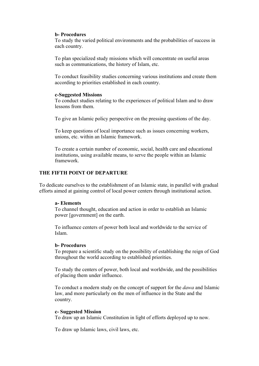#### **b- Procedures**

To study the varied political environments and the probabilities of success in each country.

To plan specialized study missions which will concentrate on useful areas such as communications, the history of Islam, etc.

To conduct feasibility studies concerning various institutions and create them according to priorities established in each country.

#### **c-Suggested Missions**

To conduct studies relating to the experiences of political Islam and to draw lessons from them.

To give an Islamic policy perspective on the pressing questions of the day.

To keep questions of local importance such as issues concerning workers, unions, etc. within an Islamic framework.

To create a certain number of economic, social, health care and educational institutions, using available means, to serve the people within an Islamic framework.

#### **THE FIFTH POINT OF DEPARTURE**

To dedicate ourselves to the establishment of an Islamic state, in parallel with gradual efforts aimed at gaining control of local power centers through institutional action.

#### **a- Elements**

To channel thought, education and action in order to establish an Islamic power [government] on the earth.

To influence centers of power both local and worldwide to the service of Islam.

#### **b- Procedures**

To prepare a scientific study on the possibility of establishing the reign of God throughout the world according to established priorities.

To study the centers of power, both local and worldwide, and the possibilities of placing them under influence.

To conduct a modern study on the concept of support for the *dawa* and Islamic law, and more particularly on the men of influence in the State and the country.

#### **c- Suggested Mission**

To draw up an Islamic Constitution in light of efforts deployed up to now.

To draw up Islamic laws, civil laws, etc.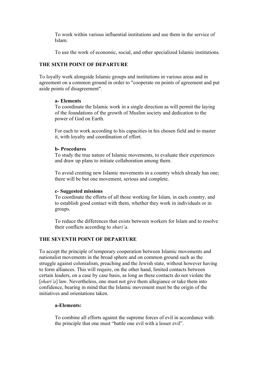To work within various influential institutions and use them in the service of Islam.

To use the work of economic, social, and other specialized Islamic institutions.

#### **THE SIXTH POINT OF DEPARTURE**

To loyally work alongside Islamic groups and institutions in various areas and in agreement on a common ground in order to "cooperate on points of agreement and put aside points of disagreement".

#### **a- Elements**

To coordinate the Islamic work in a single direction as will permit the laying of the foundations of the growth of Muslim society and dedication to the power of God on Earth.

For each to work according to his capacities in his chosen field and to master it, with loyalty and coordination of effort.

#### **b- Procedures**

To study the true nature of Islamic movements, to evaluate their experiences and draw up plans to initiate collaboration among them.

To avoid creating new Islamic movements in a country which already has one; there will be but one movement, serious and complete.

#### **c- Suggested missions**

To coordinate the efforts of all those working for Islam, in each country, and to establish good contact with them, whether they work in individuals or in groups.

To reduce the differences that exists between workers for Islam and to resolve their conflicts according to *shari'a*.

#### **THE SEVENTH POINT OF DEPARTURE**

To accept the principle of temporary cooperation between Islamic movements and nationalist movements in the broad sphere and on common ground such as the struggle against colonialism, preaching and the Jewish state, without however having to form alliances. This will require, on the other hand, limited contacts between certain leaders, on a case by case basis, as long as these contacts do not violate the [*shari'a*] law. Nevertheless, one must not give them allegiance or take them into confidence, bearing in mind that the Islamic movement must be the origin of the initiatives and orientations taken.

#### **a-Elements:**

To combine all efforts against the supreme forces of evil in accordance with the principle that one must "battle one evil with a lesser evil".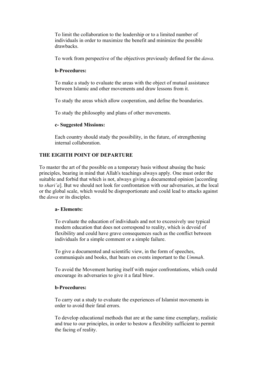To limit the collaboration to the leadership or to a limited number of individuals in order to maximize the benefit and minimize the possible drawbacks.

To work from perspective of the objectives previously defined for the *dawa*.

#### **b-Procedures:**

To make a study to evaluate the areas with the object of mutual assistance between Islamic and other movements and draw lessons from it.

To study the areas which allow cooperation, and define the boundaries.

To study the philosophy and plans of other movements.

#### **c- Suggested Missions:**

Each country should study the possibility, in the future, of strengthening internal collaboration.

#### **THE EIGHTH POINT OF DEPARTURE**

To master the art of the possible on a temporary basis without abusing the basic principles, bearing in mind that Allah's teachings always apply. One must order the suitable and forbid that which is not, always giving a documented opinion [according to *shari'a*]. But we should not look for confrontation with our adversaries, at the local or the global scale, which would be disproportionate and could lead to attacks against the *dawa* or its disciples.

#### **a- Elements:**

To evaluate the education of individuals and not to excessively use typical modern education that does not correspond to reality, which is devoid of flexibility and could have grave consequences such as the conflict between individuals for a simple comment or a simple failure.

To give a documented and scientific view, in the form of speeches, communiqués and books, that bears on events important to the *Ummah*.

To avoid the Movement hurting itself with major confrontations, which could encourage its adversaries to give it a fatal blow.

#### **b-Procedures:**

To carry out a study to evaluate the experiences of Islamist movements in order to avoid their fatal errors.

To develop educational methods that are at the same time exemplary, realistic and true to our principles, in order to bestow a flexibility sufficient to permit the facing of reality.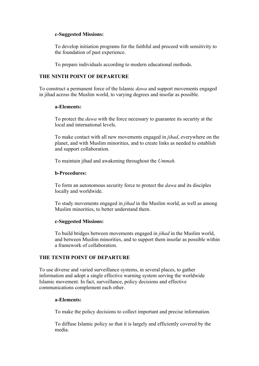#### **c-Suggested Missions:**

To develop initiation programs for the faithful and proceed with sensitivity to the foundation of past experience.

To prepare individuals according to modern educational methods.

#### **THE NINTH POINT OF DEPARTURE**

To construct a permanent force of the Islamic *dawa* and support movements engaged in jihad across the Muslim world, to varying degrees and insofar as possible.

#### **a-Elements:**

To protect the *dawa* with the force necessary to guarantee its security at the local and international levels.

To make contact with all new movements engaged in *jihad*, everywhere on the planet, and with Muslim minorities, and to create links as needed to establish and support collaboration.

To maintain jihad and awakening throughout the *Ummah.*

#### **b-Procedures:**

To form an autonomous security force to protect the *dawa* and its disciples locally and worldwide.

To study movements engaged in *jihad* in the Muslim world, as well as among Muslim minorities, to better understand them.

#### **c-Suggested Missions:**

To build bridges between movements engaged in *jihad* in the Muslim world, and between Muslim minorities, and to support them insofar as possible within a framework of collaboration.

#### **THE TENTH POINT OF DEPARTURE**

To use diverse and varied surveillance systems, in several places, to gather information and adopt a single effective warning system serving the worldwide Islamic movement. In fact, surveillance, policy decisions and effective communications complement each other.

#### **a-Elements:**

To make the policy decisions to collect important and precise information.

To diffuse Islamic policy so that it is largely and efficiently covered by the media.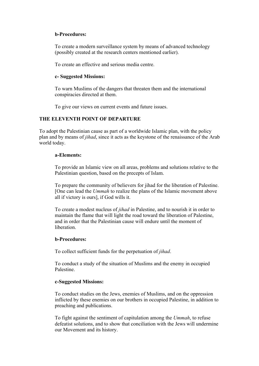#### **b-Procedures:**

To create a modern surveillance system by means of advanced technology (possibly created at the research centers mentioned earlier).

To create an effective and serious media centre.

#### **c- Suggested Missions:**

To warn Muslims of the dangers that threaten them and the international conspiracies directed at them.

To give our views on current events and future issues.

#### **THE ELEVENTH POINT OF DEPARTURE**

To adopt the Palestinian cause as part of a worldwide Islamic plan, with the policy plan and by means of *jihad*, since it acts as the keystone of the renaissance of the Arab world today.

#### **a-Elements:**

To provide an Islamic view on all areas, problems and solutions relative to the Palestinian question, based on the precepts of Islam.

To prepare the community of believers for jihad for the liberation of Palestine. [One can lead the *Ummah* to realize the plans of the Islamic movement above all if victory is ours], if God wills it.

To create a modest nucleus of *jihad* in Palestine, and to nourish it in order to maintain the flame that will light the road toward the liberation of Palestine, and in order that the Palestinian cause will endure until the moment of liberation.

#### **b-Procedures:**

To collect sufficient funds for the perpetuation of *jihad*.

To conduct a study of the situation of Muslims and the enemy in occupied Palestine.

#### **c-Suggested Missions:**

To conduct studies on the Jews, enemies of Muslims, and on the oppression inflicted by these enemies on our brothers in occupied Palestine, in addition to preaching and publications.

To fight against the sentiment of capitulation among the *Ummah*, to refuse defeatist solutions, and to show that conciliation with the Jews will undermine our Movement and its history.